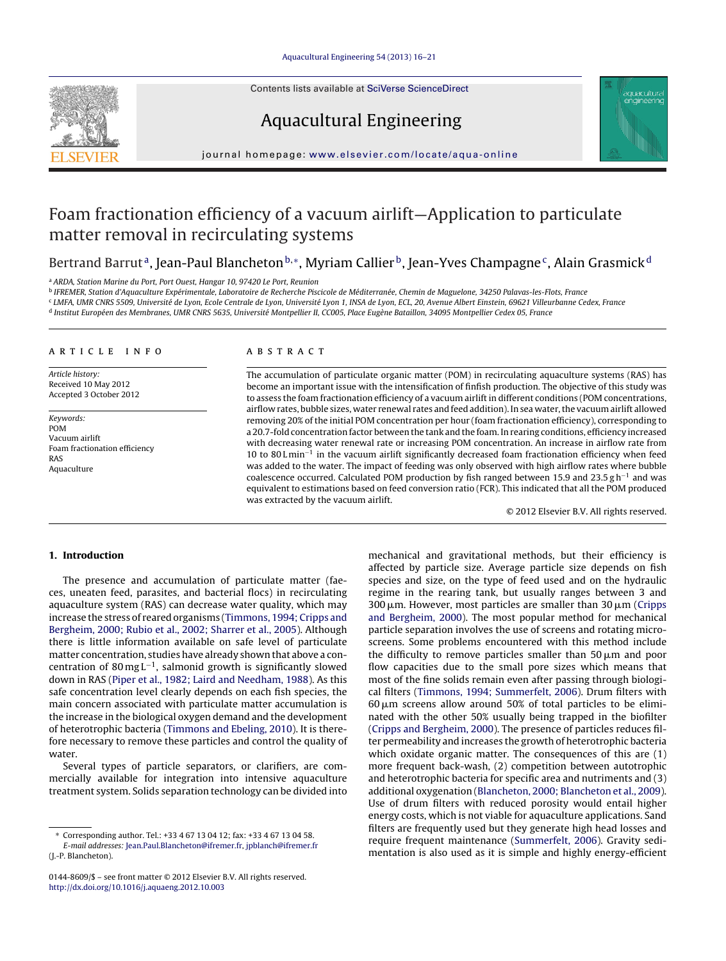Contents lists available at SciVerse [ScienceDirect](http://www.sciencedirect.com/science/journal/01448609)





Aquacultural Engineering

jou rnal homepage: [www.elsevier.com/locate/aqua-online](http://www.elsevier.com/locate/aqua-online)

# Foam fractionation efficiency of a vacuum airlift—Application to particulate matter removal in recirculating systems

Bertrand Barrut<sup>a</sup>, Jean-Paul Blancheton<sup>b,</sup>\*, Myriam Callier<sup>b</sup>, Jean-Yves Champagne<sup>c</sup>, Alain Grasmick<sup>d</sup>

<sup>a</sup> ARDA, Station Marine du Port, Port Ouest, Hangar 10, 97420 Le Port, Reunion

<sup>b</sup> IFREMER, Station d'Aquaculture Expérimentale, Laboratoire de Recherche Piscicole de Méditerranée, Chemin de Maguelone, 34250 Palavas-les-Flots, France

<sup>c</sup> LMFA, UMR CNRS 5509, Université de Lyon, Ecole Centrale de Lyon, Université Lyon 1, INSA de Lyon, ECL, 20, Avenue Albert Einstein, 69621 Villeurbanne Cedex, France

<sup>d</sup> Institut Européen des Membranes, UMR CNRS 5635, Université Montpellier II, CC005, Place Eugène Bataillon, 34095 Montpellier Cedex 05, France

# a r t i c l e i n f o

Article history: Received 10 May 2012 Accepted 3 October 2012

Keywords: POM Vacuum airlift Foam fractionation efficiency RAS Aquaculture

# A B S T R A C T

The accumulation of particulate organic matter (POM) in recirculating aquaculture systems (RAS) has become an important issue with the intensification of finfish production. The objective of this study was to assess the foam fractionation efficiency of a vacuum airlift in different conditions (POM concentrations, airflow rates, bubble sizes, water renewal rates and feed addition). In sea water,the vacuum airlift allowed removing 20% of the initial POM concentration per hour (foam fractionation efficiency), corresponding to a 20.7-fold concentration factor between the tank and the foam. In rearing conditions, efficiency increased with decreasing water renewal rate or increasing POM concentration. An increase in airflow rate from 10 to 80 L min−<sup>1</sup> in the vacuum airlift significantly decreased foam fractionation efficiency when feed was added to the water. The impact of feeding was only observed with high airflow rates where bubble coalescence occurred. Calculated POM production by fish ranged between 15.9 and 23.5 g h<sup>-1</sup> and was equivalent to estimations based on feed conversion ratio (FCR). This indicated that all the POM produced was extracted by the vacuum airlift.

© 2012 Elsevier B.V. All rights reserved.

# **1. Introduction**

The presence and accumulation of particulate matter (faeces, uneaten feed, parasites, and bacterial flocs) in recirculating aquaculture system (RAS) can decrease water quality, which may increase the stress of reared organisms ([Timmons,](#page-5-0) [1994;](#page-5-0) [Cripps](#page-5-0) [and](#page-5-0) [Bergheim,](#page-5-0) [2000;](#page-5-0) [Rubio](#page-5-0) et [al.,](#page-5-0) [2002;](#page-5-0) [Sharrer](#page-5-0) et [al.,](#page-5-0) [2005\).](#page-5-0) Although there is little information available on safe level of particulate matter concentration, studies have already shown that above a concentration of 80 mg L<sup>-1</sup>, salmonid growth is significantly slowed down in RAS [\(Piper](#page-4-0) et [al.,](#page-4-0) [1982;](#page-4-0) [Laird](#page-4-0) [and](#page-4-0) [Needham,](#page-4-0) [1988\).](#page-4-0) As this safe concentration level clearly depends on each fish species, the main concern associated with particulate matter accumulation is the increase in the biological oxygen demand and the development of heterotrophic bacteria [\(Timmons](#page-5-0) [and](#page-5-0) [Ebeling,](#page-5-0) [2010\).](#page-5-0) It is therefore necessary to remove these particles and control the quality of water.

Several types of particle separators, or clarifiers, are commercially available for integration into intensive aquaculture treatment system. Solids separation technology can be divided into

E-mail addresses: [Jean.Paul.Blancheton@ifremer.fr,](mailto:Jean.Paul.Blancheton@ifremer.fr) [jpblanch@ifremer.fr](mailto:jpblanch@ifremer.fr) (J.-P. Blancheton).

mechanical and gravitational methods, but their efficiency is affected by particle size. Average particle size depends on fish species and size, on the type of feed used and on the hydraulic regime in the rearing tank, but usually ranges between 3 and 300  $\mu$ m. However, most particles are smaller than 30  $\mu$ m [\(Cripps](#page-4-0) [and](#page-4-0) [Bergheim,](#page-4-0) [2000\).](#page-4-0) The most popular method for mechanical particle separation involves the use of screens and rotating microscreens. Some problems encountered with this method include the difficulty to remove particles smaller than 50  $\mu$ m and poor flow capacities due to the small pore sizes which means that most of the fine solids remain even after passing through biological filters ([Timmons,](#page-5-0) [1994;](#page-5-0) [Summerfelt,](#page-5-0) [2006\).](#page-5-0) Drum filters with  $60 \,\mu$ m screens allow around 50% of total particles to be eliminated with the other 50% usually being trapped in the biofilter [\(Cripps](#page-4-0) [and](#page-4-0) [Bergheim,](#page-4-0) [2000\).](#page-4-0) The presence of particles reduces filter permeability and increases the growth of heterotrophic bacteria which oxidate organic matter. The consequences of this are (1) more frequent back-wash, (2) competition between autotrophic and heterotrophic bacteria for specific area and nutriments and (3) additional oxygenation [\(Blancheton,](#page-4-0) [2000;](#page-4-0) [Blancheton](#page-4-0) et [al.,](#page-4-0) [2009\).](#page-4-0) Use of drum filters with reduced porosity would entail higher energy costs, which is not viable for aquaculture applications. Sand filters are frequently used but they generate high head losses and require frequent maintenance ([Summerfelt,](#page-5-0) [2006\).](#page-5-0) Gravity sedimentation is also used as it is simple and highly energy-efficient

<sup>∗</sup> Corresponding author. Tel.: +33 4 67 13 04 12; fax: +33 4 67 13 04 58.

<sup>0144-8609/\$</sup> – see front matter © 2012 Elsevier B.V. All rights reserved. [http://dx.doi.org/10.1016/j.aquaeng.2012.10.003](dx.doi.org/10.1016/j.aquaeng.2012.10.003)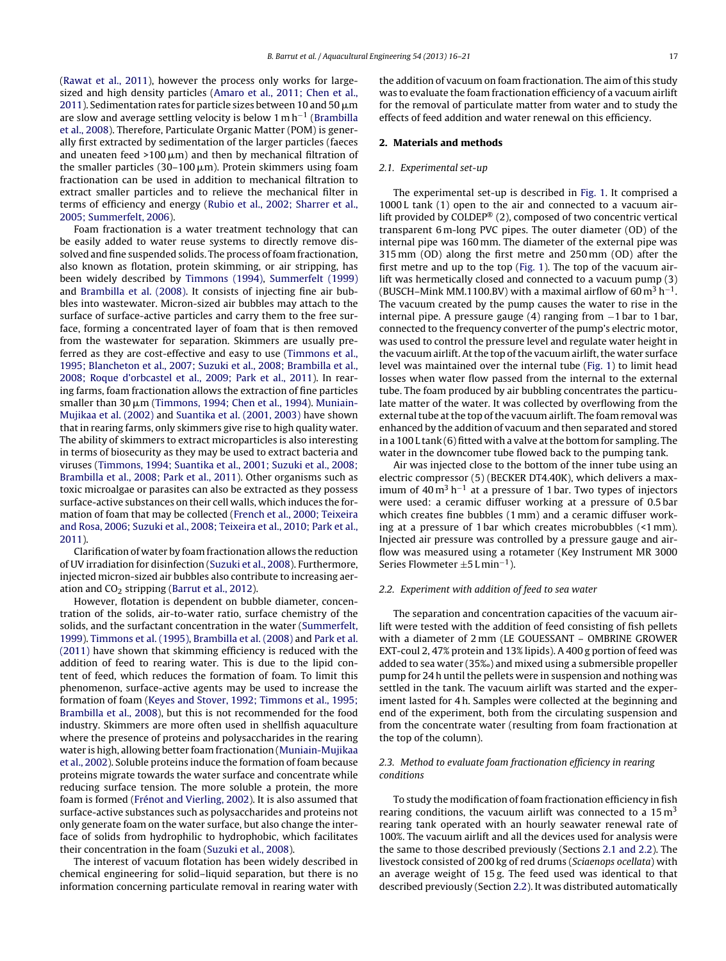([Rawat](#page-4-0) et [al.,](#page-4-0) [2011\),](#page-4-0) however the process only works for largesized and high density particles ([Amaro](#page-4-0) et [al.,](#page-4-0) [2011;](#page-4-0) [Chen](#page-4-0) et [al.,](#page-4-0)  $2011$  ). Sedimentation rates for particle sizes between 10 and 50  $\mu$ m are slow and average settling velocity is below 1 m h−<sup>1</sup> ([Brambilla](#page-4-0) et [al.,](#page-4-0) [2008\).](#page-4-0) Therefore, Particulate Organic Matter (POM) is generally first extracted by sedimentation of the larger particles (faeces and uneaten feed >100  $\upmu$ m) and then by mechanical filtration of the smaller particles (30–100  $\mu$ m). Protein skimmers using foam fractionation can be used in addition to mechanical filtration to extract smaller particles and to relieve the mechanical filter in terms of efficiency and energy ([Rubio](#page-4-0) et [al.,](#page-4-0) [2002;](#page-4-0) [Sharrer](#page-4-0) et [al.,](#page-4-0) [2005;](#page-4-0) [Summerfelt,](#page-4-0) [2006\).](#page-4-0)

Foam fractionation is a water treatment technology that can be easily added to water reuse systems to directly remove dissolved and fine suspended solids. The process of foam fractionation, also known as flotation, protein skimming, or air stripping, has been widely described by [Timmons](#page-5-0) [\(1994\),](#page-5-0) [Summerfelt](#page-5-0) [\(1999\)](#page-5-0) and [Brambilla](#page-4-0) et [al.](#page-4-0) [\(2008\).](#page-4-0) It consists of injecting fine air bubbles into wastewater. Micron-sized air bubbles may attach to the surface of surface-active particles and carry them to the free surface, forming a concentrated layer of foam that is then removed from the wastewater for separation. Skimmers are usually preferred as they are cost-effective and easy to use ([Timmons](#page-5-0) et [al.,](#page-5-0) [1995;](#page-5-0) [Blancheton](#page-5-0) et [al.,](#page-5-0) [2007;](#page-5-0) [Suzuki](#page-5-0) et [al.,](#page-5-0) [2008;](#page-5-0) [Brambilla](#page-5-0) et [al.,](#page-5-0) [2008;](#page-5-0) [Roque](#page-5-0) [d'orbcastel](#page-5-0) et [al.,](#page-5-0) [2009;](#page-5-0) [Park](#page-5-0) et [al.,](#page-5-0) [2011\).](#page-5-0) In rearing farms, foam fractionation allows the extraction of fine particles smaller than 30 µm ([Timmons,](#page-5-0) [1994;](#page-5-0) [Chen](#page-5-0) et [al.,](#page-5-0) [1994\).](#page-5-0) [Muniain-](#page-4-0)Mujikaa et [al.](#page-4-0) [\(2002\)](#page-4-0) and [Suantika](#page-5-0) et [al.](#page-5-0) [\(2001,](#page-5-0) [2003\)](#page-5-0) have shown that in rearing farms, only skimmers give rise to high quality water. The ability of skimmers to extract microparticles is also interesting in terms of biosecurity as they may be used to extract bacteria and viruses [\(Timmons,](#page-5-0) [1994;](#page-5-0) [Suantika](#page-5-0) et [al.,](#page-5-0) [2001;](#page-5-0) [Suzuki](#page-5-0) et [al.,](#page-5-0) [2008;](#page-5-0) [Brambilla](#page-5-0) et [al.,](#page-5-0) [2008;](#page-5-0) [Park](#page-5-0) et [al.,](#page-5-0) [2011\).](#page-5-0) Other organisms such as toxic microalgae or parasites can also be extracted as they possess surface-active substances on their cell walls, which induces the formation of foam that may be collected ([French](#page-4-0) et [al.,](#page-4-0) [2000;](#page-4-0) [Teixeira](#page-4-0) [and](#page-4-0) [Rosa,](#page-4-0) [2006;](#page-4-0) [Suzuki](#page-4-0) et [al.,](#page-4-0) [2008;](#page-4-0) [Teixeira](#page-4-0) et [al.,](#page-4-0) [2010;](#page-4-0) [Park](#page-4-0) et [al.,](#page-4-0) [2011\).](#page-4-0)

Clarification of water by foam fractionation allows the reduction of UV irradiation for disinfection ([Suzuki](#page-5-0) et [al.,](#page-5-0) [2008\).](#page-5-0) Furthermore, injected micron-sized air bubbles also contribute to increasing aeration and  $CO<sub>2</sub>$  stripping ([Barrut](#page-4-0) et [al.,](#page-4-0) [2012\).](#page-4-0)

However, flotation is dependent on bubble diameter, concentration of the solids, air-to-water ratio, surface chemistry of the solids, and the surfactant concentration in the water [\(Summerfelt,](#page-5-0) [1999\).](#page-5-0) [Timmons](#page-5-0) et [al.](#page-5-0) [\(1995\),](#page-5-0) [Brambilla](#page-4-0) et [al.](#page-4-0) [\(2008\)](#page-4-0) and [Park](#page-4-0) et [al.](#page-4-0) [\(2011\)](#page-4-0) have shown that skimming efficiency is reduced with the addition of feed to rearing water. This is due to the lipid content of feed, which reduces the formation of foam. To limit this phenomenon, surface-active agents may be used to increase the formation of foam ([Keyes](#page-4-0) [and](#page-4-0) [Stover,](#page-4-0) [1992;](#page-4-0) [Timmons](#page-4-0) et [al.,](#page-4-0) [1995;](#page-4-0) [Brambilla](#page-4-0) et [al.,](#page-4-0) [2008\),](#page-4-0) but this is not recommended for the food industry. Skimmers are more often used in shellfish aquaculture where the presence of proteins and polysaccharides in the rearing water is high, allowing better foam fractionation [\(Muniain-Mujikaa](#page-4-0) et [al.,](#page-4-0) [2002\).](#page-4-0) Soluble proteins induce the formation of foam because proteins migrate towards the water surface and concentrate while reducing surface tension. The more soluble a protein, the more foam is formed ([Frénot](#page-4-0) [and](#page-4-0) [Vierling,](#page-4-0) [2002\).](#page-4-0) It is also assumed that surface-active substances such as polysaccharides and proteins not only generate foam on the water surface, but also change the interface of solids from hydrophilic to hydrophobic, which facilitates their concentration in the foam [\(Suzuki](#page-5-0) et [al.,](#page-5-0) [2008\).](#page-5-0)

The interest of vacuum flotation has been widely described in chemical engineering for solid–liquid separation, but there is no information concerning particulate removal in rearing water with the addition of vacuum on foam fractionation. The aim of this study was to evaluate the foam fractionation efficiency of a vacuum airlift for the removal of particulate matter from water and to study the effects of feed addition and water renewal on this efficiency.

# **2. Materials and methods**

# 2.1. Experimental set-up

The experimental set-up is described in [Fig.](#page-2-0) 1. It comprised a 1000 L tank (1) open to the air and connected to a vacuum airlift provided by COLDEP® (2), composed of two concentric vertical transparent 6 m-long PVC pipes. The outer diameter (OD) of the internal pipe was 160 mm. The diameter of the external pipe was 315 mm (OD) along the first metre and 250 mm (OD) after the first metre and up to the top ([Fig.](#page-2-0) 1). The top of the vacuum airlift was hermetically closed and connected to a vacuum pump (3) (BUSCH–Mink MM.1100.BV) with a maximal airflow of 60 m<sup>3</sup> h<sup>-1</sup>. The vacuum created by the pump causes the water to rise in the internal pipe. A pressure gauge (4) ranging from −1 bar to 1 bar, connected to the frequency converter of the pump's electric motor, was used to control the pressure level and regulate water height in the vacuum airlift. At the top of the vacuum airlift, the water surface level was maintained over the internal tube ([Fig.](#page-2-0) 1) to limit head losses when water flow passed from the internal to the external tube. The foam produced by air bubbling concentrates the particulate matter of the water. It was collected by overflowing from the external tube at the top of the vacuum airlift. The foam removal was enhanced by the addition of vacuum and then separated and stored in a 100 L tank (6) fitted with a valve atthe bottom for sampling. The water in the downcomer tube flowed back to the pumping tank.

Air was injected close to the bottom of the inner tube using an electric compressor (5) (BECKER DT4.40K), which delivers a maximum of  $40 \text{ m}^3 \text{ h}^{-1}$  at a pressure of 1 bar. Two types of injectors were used: a ceramic diffuser working at a pressure of 0.5 bar which creates fine bubbles (1 mm) and a ceramic diffuser working at a pressure of 1 bar which creates microbubbles (<1 mm). Injected air pressure was controlled by a pressure gauge and airflow was measured using a rotameter (Key Instrument MR 3000 Series Flowmeter  $\pm$ 5 L min<sup>-1</sup>).

#### 2.2. Experiment with addition of feed to sea water

The separation and concentration capacities of the vacuum airlift were tested with the addition of feed consisting of fish pellets with a diameter of 2 mm (LE GOUESSANT – OMBRINE GROWER EXT-coul 2, 47% protein and 13% lipids). A 400 g portion of feed was added to sea water (35‰) and mixed using a submersible propeller pump for 24 h until the pellets were in suspension and nothing was settled in the tank. The vacuum airlift was started and the experiment lasted for 4 h. Samples were collected at the beginning and end of the experiment, both from the circulating suspension and from the concentrate water (resulting from foam fractionation at the top of the column).

# 2.3. Method to evaluate foam fractionation efficiency in rearing conditions

To study the modification of foam fractionation efficiency in fish rearing conditions, the vacuum airlift was connected to a  $15 \text{ m}^3$ rearing tank operated with an hourly seawater renewal rate of 100%. The vacuum airlift and all the devices used for analysis were the same to those described previously (Sections 2.1 and 2.2). The livestock consisted of 200 kg of red drums (Sciaenops ocellata) with an average weight of 15 g. The feed used was identical to that described previously (Section 2.2). It was distributed automatically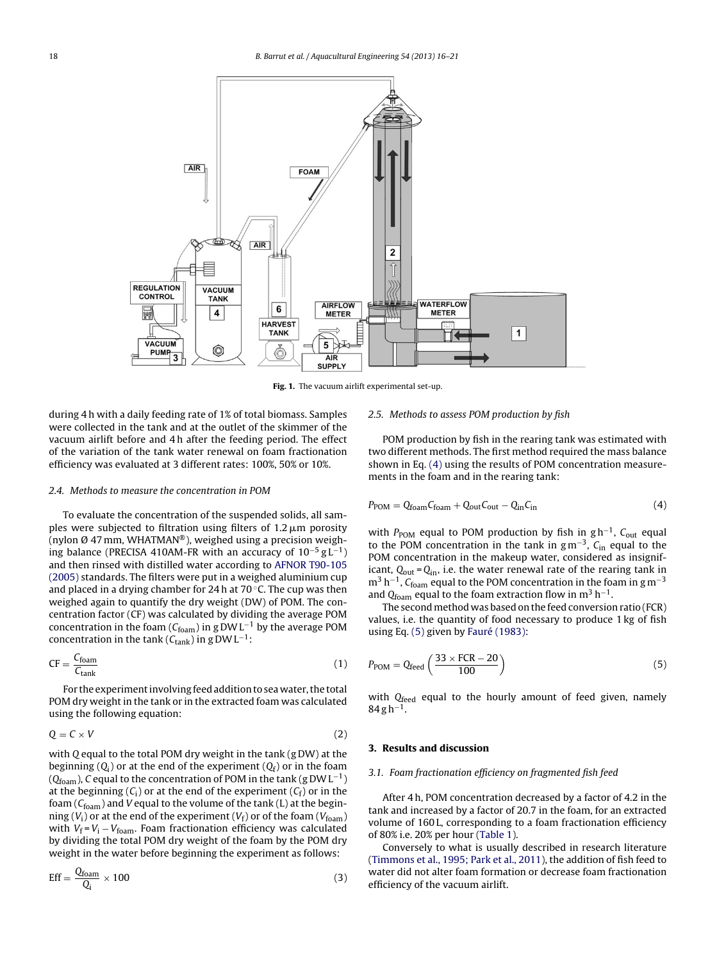<span id="page-2-0"></span>

**Fig. 1.** The vacuum airlift experimental set-up.

during 4 h with a daily feeding rate of 1% of total biomass. Samples were collected in the tank and at the outlet of the skimmer of the vacuum airlift before and 4 h after the feeding period. The effect of the variation of the tank water renewal on foam fractionation efficiency was evaluated at 3 different rates: 100%, 50% or 10%.

#### 2.4. Methods to measure the concentration in POM

To evaluate the concentration of the suspended solids, all samples were subjected to filtration using filters of 1.2  $\mu$ m porosity (nylon Ø 47 mm, WHATMAN®), weighed using a precision weighing balance (PRECISA 410AM-FR with an accuracy of  $10^{-5}$  g L<sup>-1</sup>) and then rinsed with distilled water according to [AFNOR](#page-4-0) [T90-105](#page-4-0) [\(2005\)](#page-4-0) standards. The filters were put in a weighed aluminium cup and placed in a drying chamber for 24 h at 70 $\degree$ C. The cup was then weighed again to quantify the dry weight (DW) of POM. The concentration factor (CF) was calculated by dividing the average POM concentration in the foam ( $C_{foam}$ ) in g DWL<sup>-1</sup> by the average POM concentration in the tank ( $C_{\text{tank}}$ ) in g DW L<sup>-1</sup>:

$$
CF = \frac{C_{foam}}{C_{tank}} \tag{1}
$$

For the experiment involving feed addition to sea water, the total POM dry weight in the tank or in the extracted foam was calculated using the following equation:

$$
Q = C \times V \tag{2}
$$

with Q equal to the total POM dry weight in the tank (g DW) at the beginning  $(Q_i)$  or at the end of the experiment  $(Q_f)$  or in the foam ( $Q_{foam}$ ), C equal to the concentration of POM in the tank (g DWL<sup>-1</sup>) at the beginning  $(C_i)$  or at the end of the experiment  $(C_f)$  or in the foam ( $C_{\text{foam}}$ ) and V equal to the volume of the tank (L) at the beginning ( $V_i$ ) or at the end of the experiment ( $V_f$ ) or of the foam ( $V_{foam}$ ) with  $V_f = V_i - V_{foam}$ . Foam fractionation efficiency was calculated by dividing the total POM dry weight of the foam by the POM dry weight in the water before beginning the experiment as follows:

$$
Eff = \frac{Q_{\text{foam}}}{Q_i} \times 100\tag{3}
$$

#### 2.5. Methods to assess POM production by fish

POM production by fish in the rearing tank was estimated with two different methods. The first method required the mass balance shown in Eq. (4) using the results of POM concentration measurements in the foam and in the rearing tank:

$$
P_{\text{POM}} = Q_{\text{foam}} C_{\text{foam}} + Q_{\text{out}} C_{\text{out}} - Q_{\text{in}} C_{\text{in}} \tag{4}
$$

with P<sub>POM</sub> equal to POM production by fish in g h<sup>-1</sup>, C<sub>out</sub> equal to the POM concentration in the tank in  $gm^{-3}$ , C<sub>in</sub> equal to the POM concentration in the makeup water, considered as insignificant,  $Q_{\text{out}} = Q_{\text{in}}$ , i.e. the water renewal rate of the rearing tank in  $m^3$  h<sup>-1</sup>, C<sub>foam</sub> equal to the POM concentration in the foam in g m<sup>-3</sup> and Q $_{\text{foam}}$  equal to the foam extraction flow in m<sup>3</sup> h<sup>-1</sup>.

The second method was based on the feed conversion ratio (FCR) values, i.e. the quantity of food necessary to produce 1 kg of fish using Eq. (5) given by [Fauré](#page-4-0) [\(1983\):](#page-4-0)

$$
P_{\text{POM}} = Q_{\text{feed}} \left( \frac{33 \times \text{FCR} - 20}{100} \right) \tag{5}
$$

with  $Q_{feed}$  equal to the hourly amount of feed given, namely  $84$  g h<sup>-1</sup>.

## **3. Results and discussion**

# 3.1. Foam fractionation efficiency on fragmented fish feed

After 4 h, POM concentration decreased by a factor of 4.2 in the tank and increased by a factor of 20.7 in the foam, for an extracted volume of 160 L, corresponding to a foam fractionation efficiency of 80% i.e. 20% per hour [\(Table](#page-3-0) 1).

Conversely to what is usually described in research literature [\(Timmons](#page-5-0) et [al.,](#page-5-0) [1995;](#page-5-0) [Park](#page-5-0) et [al.,](#page-5-0) [2011\),](#page-5-0) the addition of fish feed to water did not alter foam formation or decrease foam fractionation efficiency of the vacuum airlift.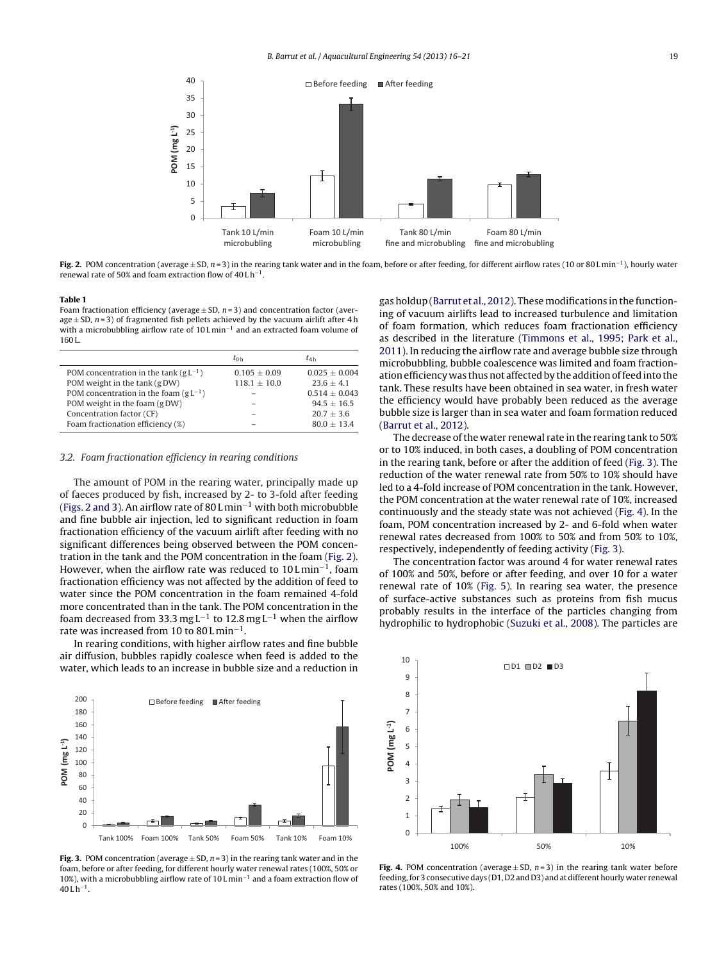<span id="page-3-0"></span>

**Fig. 2.** POM concentration (average <sup>±</sup> SD, <sup>n</sup> <sup>=</sup> 3) in the rearing tank water and in the foam, before or after feeding, for different airflow rates (10 or <sup>80</sup> <sup>L</sup> min−1), hourly water renewal rate of 50% and foam extraction flow of 40 L h−1.

#### **Table 1**

Foam fractionation efficiency (average  $\pm$  SD, n = 3) and concentration factor (average  $\pm$  SD,  $n=3$ ) of fragmented fish pellets achieved by the vacuum airlift after 4 h with a microbubbling airflow rate of 10 L min<sup>-1</sup> and an extracted foam volume of 160 L.

|                                                   | $t_{0h}$         | $t_{4h}$          |
|---------------------------------------------------|------------------|-------------------|
| POM concentration in the tank (gL <sup>-1</sup> ) | $0.105 \pm 0.09$ | $0.025 + 0.004$   |
| POM weight in the tank (gDW)                      | $118.1 \pm 10.0$ | $23.6 + 4.1$      |
| POM concentration in the foam $(gL^{-1})$         |                  | $0.514 \pm 0.043$ |
| POM weight in the foam (gDW)                      |                  | $94.5 + 16.5$     |
| Concentration factor (CF)                         |                  | $20.7 + 3.6$      |
| Foam fractionation efficiency (%)                 |                  | $80.0 + 13.4$     |

#### 3.2. Foam fractionation efficiency in rearing conditions

The amount of POM in the rearing water, principally made up of faeces produced by fish, increased by 2- to 3-fold after feeding (Figs. 2 and 3). An airflow rate of 80 L min−<sup>1</sup> with both microbubble and fine bubble air injection, led to significant reduction in foam fractionation efficiency of the vacuum airlift after feeding with no significant differences being observed between the POM concentration in the tank and the POM concentration in the foam (Fig. 2). However, when the airflow rate was reduced to 10 L min<sup>-1</sup>, foam fractionation efficiency was not affected by the addition of feed to water since the POM concentration in the foam remained 4-fold more concentrated than in the tank. The POM concentration in the foam decreased from 33.3 mg L<sup>-1</sup> to 12.8 mg L<sup>-1</sup> when the airflow rate was increased from 10 to 80 L min<sup>-1</sup>.

In rearing conditions, with higher airflow rates and fine bubble air diffusion, bubbles rapidly coalesce when feed is added to the water, which leads to an increase in bubble size and a reduction in



**Fig. 3.** POM concentration (average  $\pm$  SD,  $n=3$ ) in the rearing tank water and in the foam, before or after feeding, for different hourly water renewal rates (100%, 50% or 10%), with a microbubbling airflow rate of 10 L min−<sup>1</sup> and a foam extraction flow of  $40$  L h<sup>−1</sup>.

gas holdup ([Barrut](#page-4-0) et [al.,](#page-4-0) [2012\).](#page-4-0) These modifications in the functioning of vacuum airlifts lead to increased turbulence and limitation of foam formation, which reduces foam fractionation efficiency as described in the literature ([Timmons](#page-5-0) et [al.,](#page-5-0) [1995;](#page-5-0) [Park](#page-5-0) et [al.,](#page-5-0) [2011\).](#page-5-0) In reducing the airflow rate and average bubble size through microbubbling, bubble coalescence was limited and foam fractionation efficiency was thus not affected by the addition of feed into the tank. These results have been obtained in sea water, in fresh water the efficiency would have probably been reduced as the average bubble size is larger than in sea water and foam formation reduced [\(Barrut](#page-4-0) et [al.,](#page-4-0) [2012\).](#page-4-0)

The decrease of the water renewal rate in the rearing tank to 50% or to 10% induced, in both cases, a doubling of POM concentration in the rearing tank, before or after the addition of feed (Fig. 3). The reduction of the water renewal rate from 50% to 10% should have led to a 4-fold increase of POM concentration in the tank. However, the POM concentration at the water renewal rate of 10%, increased continuously and the steady state was not achieved (Fig. 4). In the foam, POM concentration increased by 2- and 6-fold when water renewal rates decreased from 100% to 50% and from 50% to 10%, respectively, independently of feeding activity (Fig. 3).

The concentration factor was around 4 for water renewal rates of 100% and 50%, before or after feeding, and over 10 for a water renewal rate of 10% [\(Fig.](#page-4-0) 5). In rearing sea water, the presence of surface-active substances such as proteins from fish mucus probably results in the interface of the particles changing from hydrophilic to hydrophobic ([Suzuki](#page-5-0) et [al.,](#page-5-0) [2008\).](#page-5-0) The particles are



**Fig. 4.** POM concentration (average  $\pm$  SD,  $n=3$ ) in the rearing tank water before feeding, for 3 consecutive days (D1, D2 and D3) and at different hourly water renewal rates (100%, 50% and 10%).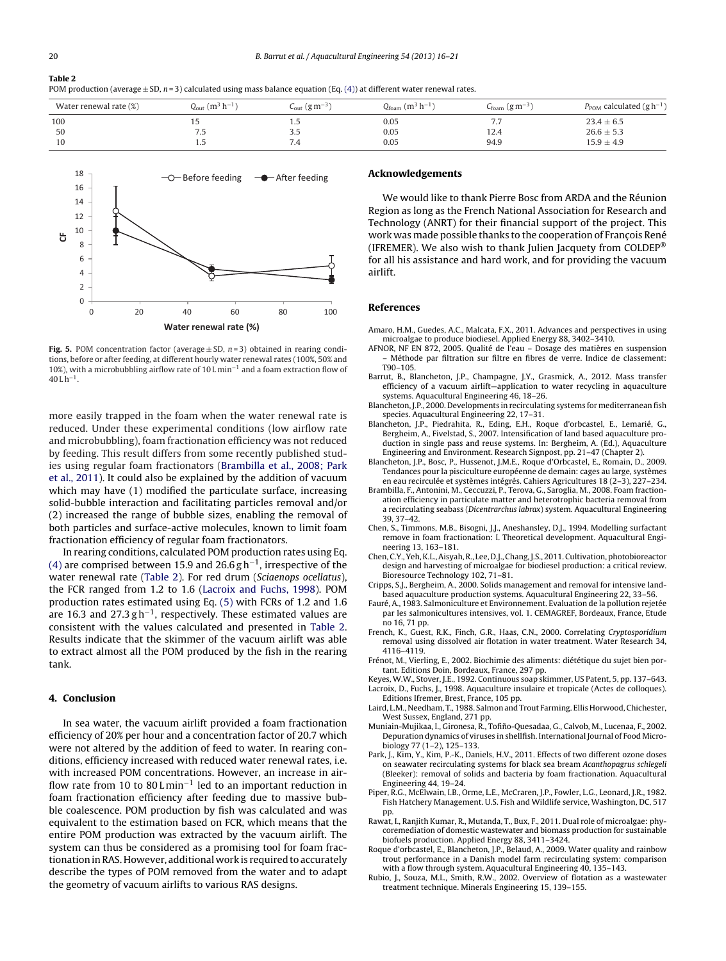<span id="page-4-0"></span>**Table 2** POM production (average  $\pm$  SD,  $n=3$ ) calculated using mass balance equation (Eq. [\(4\)\)](#page-2-0) at different water renewal rates.

| Water renewal rate (%) | $Q_{\text{out}}$ (m <sup>3</sup> h <sup>-1</sup> ) | $\epsilon_{\text{out}}$ (g m <sup>-3</sup> ) | $Q_{\text{foam}}$ (m <sup>3</sup> h <sup>-1</sup> ) | $C_{\text{foam}}$ (g m <sup>-3</sup> ) | $P_{\text{POM}}$ calculated (g h <sup>-1</sup> ) |
|------------------------|----------------------------------------------------|----------------------------------------------|-----------------------------------------------------|----------------------------------------|--------------------------------------------------|
| 100                    |                                                    | L.5                                          | 0.05                                                | , , ,                                  | $23.4 \pm 6.5$                                   |
| 50                     | 7.5                                                | 3.J                                          | 0.05                                                | 12.4                                   | $26.6 \pm 5.3$                                   |
| 10                     | ر., ۱                                              | 7.4                                          | 0.05                                                | 94.9                                   | $15.9 \pm 4.9$                                   |



**Fig. 5.** POM concentration factor (average  $\pm$  SD,  $n=3$ ) obtained in rearing conditions, before or after feeding, at different hourly water renewal rates (100%, 50% and 10%), with a microbubbling airflow rate of 10 L min−<sup>1</sup> and a foam extraction flow of 40 L h−1.

more easily trapped in the foam when the water renewal rate is reduced. Under these experimental conditions (low airflow rate and microbubbling), foam fractionation efficiency was not reduced by feeding. This result differs from some recently published studies using regular foam fractionators (Brambilla et al., 2008; Park et al., 2011). It could also be explained by the addition of vacuum which may have (1) modified the particulate surface, increasing solid-bubble interaction and facilitating particles removal and/or (2) increased the range of bubble sizes, enabling the removal of both particles and surface-active molecules, known to limit foam fractionation efficiency of regular foam fractionators.

In rearing conditions, calculated POM production rates using Eq. [\(4\)](#page-2-0) are comprised between 15.9 and 26.6 g h<sup>-1</sup>, irrespective of the water renewal rate (Table 2). For red drum (Sciaenops ocellatus), the FCR ranged from 1.2 to 1.6 (Lacroix and Fuchs, 1998). POM production rates estimated using Eq. [\(5\)](#page-2-0) with FCRs of 1.2 and 1.6 are 16.3 and 27.3  $gh^{-1}$ , respectively. These estimated values are consistent with the values calculated and presented in Table 2. Results indicate that the skimmer of the vacuum airlift was able to extract almost all the POM produced by the fish in the rearing tank.

# **4. Conclusion**

In sea water, the vacuum airlift provided a foam fractionation efficiency of 20% per hour and a concentration factor of 20.7 which were not altered by the addition of feed to water. In rearing conditions, efficiency increased with reduced water renewal rates, i.e. with increased POM concentrations. However, an increase in airflow rate from 10 to 80 L min−<sup>1</sup> led to an important reduction in foam fractionation efficiency after feeding due to massive bubble coalescence. POM production by fish was calculated and was equivalent to the estimation based on FCR, which means that the entire POM production was extracted by the vacuum airlift. The system can thus be considered as a promising tool for foam fractionation in RAS. However, additional work is required to accurately describe the types of POM removed from the water and to adapt the geometry of vacuum airlifts to various RAS designs.

#### **Acknowledgements**

We would like to thank Pierre Bosc from ARDA and the Réunion Region as long as the French National Association for Research and Technology (ANRT) for their financial support of the project. This work was made possible thanks to the cooperation of François René (IFREMER). We also wish to thank Julien Jacquety from COLDEP® for all his assistance and hard work, and for providing the vacuum airlift.

# **References**

- Amaro, H.M., Guedes, A.C., Malcata, F.X., 2011. Advances and perspectives in using microalgae to produce biodiesel. Applied Energy 88, 3402–3410.
- AFNOR, NF EN 872, 2005. Qualité de l'eau Dosage des matières en suspension – Méthode par filtration sur filtre en fibres de verre. Indice de classement: T90–105.
- Barrut, B., Blancheton, J.P., Champagne, J.Y., Grasmick, A., 2012. Mass transfer efficiency of a vacuum airlift—application to water recycling in aquaculture systems. Aquacultural Engineering 46, 18–26.
- Blancheton, J.P., 2000. Developments in recirculating systems for mediterranean fish species. Aquacultural Engineering 22, 17–31.
- Blancheton, J.P., Piedrahita, R., Eding, E.H., Roque d'orbcastel, E., Lemarié, G., Bergheim, A., Fivelstad, S., 2007. Intensification of land based aquaculture production in single pass and reuse systems. In: Bergheim, A. (Ed.), Aquaculture Engineering and Environment. Research Signpost, pp. 21–47 (Chapter 2).
- Blancheton, J.P., Bosc, P., Hussenot, J.M.E., Roque d'Orbcastel, E., Romain, D., 2009. Tendances pour la pisciculture européenne de demain: cages au large, systèmes en eau recirculée et systèmes intégrés. Cahiers Agricultures 18 (2–3), 227–234.
- Brambilla, F., Antonini, M., Ceccuzzi, P., Terova, G., Saroglia, M., 2008. Foam fractionation efficiency in particulate matter and heterotrophic bacteria removal from a recirculating seabass (Dicentrarchus labrax) system. Aquacultural Engineering 39, 37–42.
- Chen, S., Timmons, M.B., Bisogni, J.J., Aneshansley, D.J., 1994. Modelling surfactant remove in foam fractionation: I. Theoretical development. Aquacultural Engineering 13, 163–181.
- Chen,C.Y.,Yeh,K.L.,Aisyah,R., Lee, D.J.,Chang,J.S., 2011.Cultivation,photobioreactor design and harvesting of microalgae for biodiesel production: a critical review. Bioresource Technology 102, 71–81.
- Cripps, S.J., Bergheim, A., 2000. Solids management and removal for intensive landbased aquaculture production systems. Aquacultural Engineering 22, 33–56.
- Fauré, A., 1983. Salmoniculture et Environnement. Evaluation de la pollution rejetée par les salmonicultures intensives, vol. 1. CEMAGREF, Bordeaux, France, Etude no 16, 71 pp.
- French, K., Guest, R.K., Finch, G.R., Haas, C.N., 2000. Correlating Cryptosporidium removal using dissolved air flotation in water treatment. Water Research 34, 4116–4119.
- Frénot, M., Vierling, E., 2002. Biochimie des aliments: diététique du sujet bien portant. Editions Doin, Bordeaux, France, 297 pp.
- Keyes, W.W., Stover, J.E., 1992. Continuous soap skimmer, US Patent, 5, pp. 137–643. Lacroix, D., Fuchs, J., 1998. Aquaculture insulaire et tropicale (Actes de colloques).
- Editions Ifremer, Brest, France, 105 pp. Laird, L.M., Needham, T., 1988. Salmon and Trout Farming. Ellis Horwood, Chichester,
- West Sussex, England, 271 pp. Muniain-Mujikaa, I., Gironesa, R., Tofiño-Quesadaa, G., Calvob, M., Lucenaa, F., 2002. Depuration dynamics of viruses in shellfish. International Journal of Food Microbiology 77 (1–2), 125–133.
- Park, J., Kim, Y., Kim, P.-K., Daniels, H.V., 2011. Effects of two different ozone doses on seawater recirculating systems for black sea bream Acanthopagrus schlegeli (Bleeker): removal of solids and bacteria by foam fractionation. Aquacultural Engineering 44, 19–24.
- Piper, R.G., McElwain, I.B., Orme, L.E., McCraren, J.P., Fowler, L.G., Leonard, J.R., 1982. Fish Hatchery Management. U.S. Fish and Wildlife service, Washington, DC, 517 pp.
- Rawat, I., Ranjith Kumar, R., Mutanda, T., Bux, F., 2011. Dual role of microalgae: phycoremediation of domestic wastewater and biomass production for sustainable biofuels production. Applied Energy 88, 3411–3424.
- Roque d'orbcastel, E., Blancheton, J.P., Belaud, A., 2009. Water quality and rainbow trout performance in a Danish model farm recirculating system: comparison with a flow through system. Aquacultural Engineering 40, 135–143.
- Rubio, J., Souza, M.L., Smith, R.W., 2002. Overview of flotation as a wastewater treatment technique. Minerals Engineering 15, 139–155.